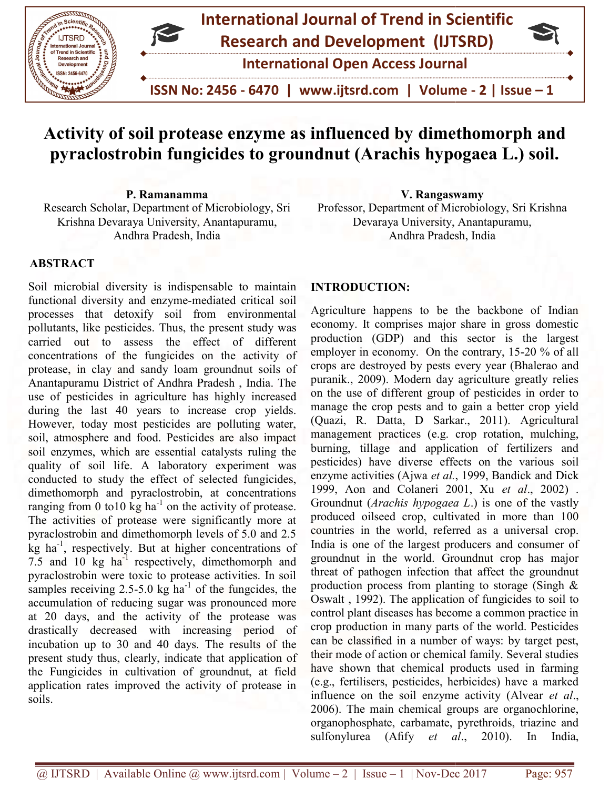

# Activity of soil protease enzyme as influenced by dimethomorph and pyraclostrobin fungicides to groundnut (Arachis hypogaea L.) soil.

P. Ramanamma Research Scholar, Department of Microbiology, Sri Krishna Devaraya University, Anantapuramu, Andhra Pradesh, India P. Ramanamma<br>Research Scholar, Department of Microbiology, Sri Professor, Department of Microbio<br>Krishna Devaraya University, Anantapuramu, Devaraya University, Anant

#### ABSTRACT

Soil microbial diversity is indispensable to maintain functional diversity and enzyme-mediated critical soil processes that detoxify soil from environmental pollutants, like pesticides. Thus, the present study was carried out to assess the effect of different concentrations of the fungicides on the activity of protease, in clay and sandy loam groundnut soils of Anantapuramu District of Andhra Pradesh , India. The The use of pesticides in agriculture has highly increased use of pesticides in agriculture has highly increased during the last 40 years to increase crop yields. However, today most pesticides are polluting water, soil, atmosphere and food. Pesticides are also impact soil enzymes, which are essential catalysts ruling the quality of soil life. A laboratory experiment was quality of soil life. A laboratory experiment was conducted to study the effect of selected fungicides, dimethomorph and pyraclostrobin, at concentrations ranging from 0 to10 kg ha<sup>-1</sup> on the activity of protease. The activities of protease were significantly more at pyraclostrobin and dimethomorph levels of 5.0 and 2.5 pyraclostrobin and dimethomorph levels of 5.0 and 2.5 kg ha<sup>-1</sup>, respectively. But at higher concentrations of 7.5 and  $10 \text{ kg}$  ha<sup>-1</sup> respectively, dimethomorph and pyraclostrobin were toxic to protease activities. In soil pyraclostrobin were toxic to protease activities. In soil samples receiving  $2.5$ -5.0 kg ha<sup>-1</sup> of the fungcides, the accumulation of reducing sugar was pronounced more at 20 days, and the activity of the protease was was drastically decreased with increasing period of incubation up to 30 and 40 days. The results of the present study thus, clearly, indicate that application of the Fungicides in cultivation of groundnut, at field application rates improved the activity of protease in soils. expectively is indispensable to maintain<br>and enzyme-mediated critical soil<br>toxify soil from environmental<br>icides. Thus, the present study was<br>assess the effect of different today most pesticides are polluting water,<br>phere and food. Pesticides are also impact<br>les, which are essential catalysts ruling the and pyraclostrobin, at concentrations<br>to 10 kg ha<sup>-1</sup> on the activity of protease.<br>of protease were significantly more at

Professor, Department of Microbiology, Sri Krishna Devaraya University, Anantapuramu, Andhra Pradesh, India ment of Microbiology, Sri Krishna<br>University, Anantapuramu,<br>Idhra Pradesh, India<br>N:<br>N:<br>Ins to be the backbone of Indian<br>rises major share in gross domestic

#### INTRODUCTION:

Agriculture happens to be the backbone of Indian economy. It comprises major share in gross domestic production (GDP) and this sector is the largest production (GDP) and this sector is the largest<br>employer in economy. On the contrary, 15-20 % of all crops are destroyed by pests every year (Bhalerao and puranik., 2009). Modern day agriculture greatly relies on the use of different group of pesticides in order to manage the crop pests and to gain a better crop yield (Quazi, R. Datta, D Sarkar., 2011). Agricultural management practices (e.g. crop rotation, mulching, burning, tillage and application of fertilizers and pesticides) have diverse effects on the various soil pesticides) have diverse effects on the various enzyme activities (Ajwa et al., 1999, Bandick and Dick enzyme activities (Ajwa *et al.*, 1999, Bandick and Dick<br>1999, Aon and Colaneri 2001, Xu *et al.*, 2002). Groundnut (*Arachis hypogaea L*.) is one of the vastly produced oilseed crop, cultivated in more than 100 produced oilseed crop, cultivated in more than 100 countries in the world, referred as a universal crop. India is one of the largest producers and consumer of groundnut in the world. Groundnut crop has major threat of pathogen infection that affect the groundnut production process from planting to storage (Singh & Oswalt, 1992). The application of fungicides to soil to control plant diseases has become a common practice in crop production in many parts of the world. Pesticides can be classified in a number of ways: by target pest, their mode of action or chemical family. Several studies control plant diseases has become a common practice in crop production in many parts of the world. Pesticides can be classified in a number of ways: by target pest, their mode of action or chemical family. Several studies (e.g., fertilisers, pesticides, herbicides) have a marked influence on the soil enzyme activity (Alvear et al., 2006). The main chemical groups are organochlorine, organophosphate, carbamate, pyrethroids, triazine and sulfonylurea (Afify et al., 2010). In India, crops are destroyed by pests every year (Bhalerao and puranik., 2009). Modern day agriculture greatly relies on the use of different group of pesticides in order to manage the crop pests and to gain a better crop yield (Qu India is one of the largest producers and consumer of groundnut in the world. Groundnut crop has major threat of pathogen infection that affect the groundnut production process from planting to storage (Singh & Oswalt, 199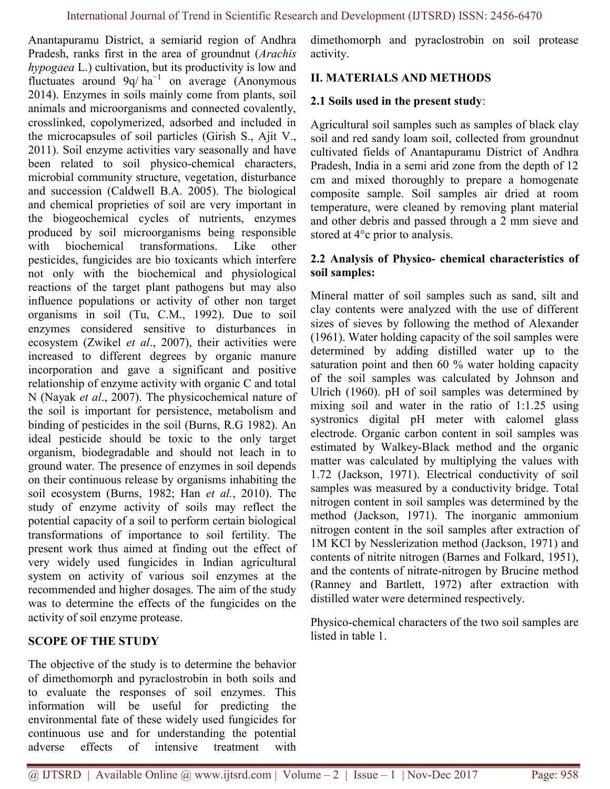Anantapuramu District, a semiarid region of Andhra Pradesh, ranks first in the area of groundnut (Arachis hypogaea L.) cultivation, but its productivity is low and fluctuates around 9q/ ha−1 on average (Anonymous 2014). Enzymes in soils mainly come from plants, soil animals and microorganisms and connected covalently, crosslinked, copolymerized, adsorbed and included in the microcapsules of soil particles (Girish S., Ajit V., 2011). Soil enzyme activities vary seasonally and have been related to soil physiсo-chemical characters, microbial community structure, vegetation, disturbance and succession (Caldwell B.A. 2005). The biological and chemical proprieties of soil are very important in the biogeochemical cycles of nutrients, enzymes produced by soil microorganisms being responsible with biochemical transformations. Like other pesticides, fungicides are bio toxicants which interfere not only with the biochemical and physiological reactions of the target plant pathogens but may also influence populations or activity of other non target organisms in soil (Tu, C.M., 1992). Due to soil enzymes considered sensitive to disturbances in ecosystem (Zwikel et al., 2007), their activities were increased to different degrees by organic manure incorporation and gave a significant and positive relationship of enzyme activity with organic C and total N (Nayak et al., 2007). The physicochemical nature of the soil is important for persistence, metabolism and binding of pesticides in the soil (Burns, R.G 1982). An ideal pesticide should be toxic to the only target organism, biodegradable and should not leach in to ground water. The presence of enzymes in soil depends on their continuous release by organisms inhabiting the soil ecosystem (Burns, 1982; Han et al., 2010). The study of enzyme activity of soils may reflect the potential capacity of a soil to perform certain biological transformations of importance to soil fertility. The present work thus aimed at finding out the effect of very widely used fungicides in Indian agricultural system on activity of various soil enzymes at the recommended and higher dosages. The aim of the study was to determine the effects of the fungicides on the activity of soil enzyme protease.

# SCOPE OF THE STUDY

The objective of the study is to determine the behavior of dimethomorph and pyraclostrobin in both soils and to evaluate the responses of soil enzymes. This information will be useful for predicting the environmental fate of these widely used fungicides for continuous use and for understanding the potential adverse effects of intensive treatment with dimethomorph and pyraclostrobin on soil protease activity.

# II. MATERIALS AND METHODS

# 2.1 Soils used in the present study:

Agricultural soil samples such as samples of black clay soil and red sandy loam soil, collected from groundnut cultivated fields of Anantapuramu District of Andhra Pradesh, India in a semi arid zone from the depth of 12 cm and mixed thoroughly to prepare a homogenate composite sample. Soil samples air dried at room temperature, were cleaned by removing plant material and other debris and passed through a 2 mm sieve and stored at 4°c prior to analysis.

# 2.2 Analysis of Physico- chemical characteristics of soil samples:

Mineral matter of soil samples such as sand, silt and clay contents were analyzed with the use of different sizes of sieves by following the method of Alexander (1961). Water holding capacity of the soil samples were determined by adding distilled water up to the saturation point and then 60 % water holding capacity of the soil samples was calculated by Johnson and Ulrich (1960). pH of soil samples was determined by mixing soil and water in the ratio of 1:1.25 using systronics digital pH meter with calomel glass electrode. Organic carbon content in soil samples was estimated by Walkey-Black method and the organic matter was calculated by multiplying the values with 1.72 (Jackson, 1971). Electrical conductivity of soil samples was measured by a conductivity bridge. Total nitrogen content in soil samples was determined by the method (Jackson, 1971). The inorganic ammonium nitrogen content in the soil samples after extraction of 1M KCl by Nesslerization method (Jackson, 1971) and contents of nitrite nitrogen (Barnes and Folkard, 1951), and the contents of nitrate-nitrogen by Brucine method (Ranney and Bartlett, 1972) after extraction with distilled water were determined respectively.

Physico-chemical characters of the two soil samples are listed in table 1.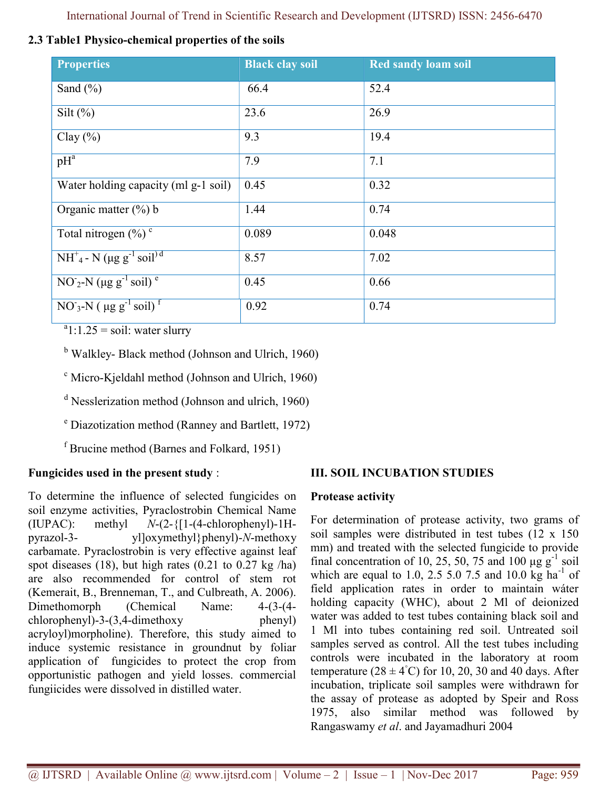International Journal of Trend in Scientific Research and Development (IJTSRD) ISSN: 2456-6470

| 2.3 Table1 Physico-chemical properties of the soils |  |
|-----------------------------------------------------|--|
|-----------------------------------------------------|--|

| <b>Properties</b>                                          | <b>Black clay soil</b> | <b>Red sandy loam soil</b> |
|------------------------------------------------------------|------------------------|----------------------------|
| Sand $(\% )$                                               | 66.4                   | 52.4                       |
| Silt $(\%)$                                                | 23.6                   | 26.9                       |
| Clay $(\% )$                                               | 9.3                    | 19.4                       |
| $pH^a$                                                     | 7.9                    | 7.1                        |
| Water holding capacity (ml g-1 soil)                       | 0.45                   | 0.32                       |
| Organic matter $(\%)$ b                                    | 1.44                   | 0.74                       |
| Total nitrogen $(\%)$ <sup>c</sup>                         | 0.089                  | 0.048                      |
| $NH^+_{4}$ - N (µg g <sup>-1</sup> soil <sup>) d</sup>     | 8.57                   | 7.02                       |
| $\overline{NO_2-N}$ (µg g <sup>-1</sup> soil) <sup>e</sup> | 0.45                   | 0.66                       |
| $NO3-N$ ( $\mu g g-1 soil$ ) <sup>T</sup>                  | 0.92                   | 0.74                       |

 $a_1:1.25 =$ soil: water slurry

<sup>b</sup> Walkley- Black method (Johnson and Ulrich, 1960)

<sup>c</sup> Micro-Kjeldahl method (Johnson and Ulrich, 1960)

<sup>d</sup> Nesslerization method (Johnson and ulrich, 1960)

<sup>e</sup> Diazotization method (Ranney and Bartlett, 1972)

<sup>f</sup> Brucine method (Barnes and Folkard, 1951)

# Fungicides used in the present study :

To determine the influence of selected fungicides on soil enzyme activities, Pyraclostrobin Chemical Name (IUPAC): methyl  $N-(2-{1-(4-chlorophenyl)-1H$ pyrazol-3- yl]oxymethyl}phenyl)-N-methoxy carbamate. Pyraclostrobin is very effective against leaf spot diseases (18), but high rates (0.21 to 0.27 kg /ha) are also recommended for control of stem rot (Kemerait, B., Brenneman, T., and Culbreath, A. 2006). Dimethomorph (Chemical Name: 4-(3-(4 chlorophenyl)-3-(3,4-dimethoxy phenyl) acryloyl)morpholine). Therefore, this study aimed to induce systemic resistance in groundnut by foliar application of fungicides to protect the crop from opportunistic pathogen and yield losses. commercial fungiicides were dissolved in distilled water.

# III. SOIL INCUBATION STUDIES

# Protease activity

For determination of protease activity, two grams of soil samples were distributed in test tubes (12 x 150 mm) and treated with the selected fungicide to provide final concentration of 10, 25, 50, 75 and 100  $\mu$ g g<sup>-1</sup> soil which are equal to 1.0, 2.5 5.0 7.5 and 10.0 kg ha<sup>-1</sup> of field application rates in order to maintain wáter holding capacity (WHC), about 2 Ml of deionized water was added to test tubes containing black soil and 1 Ml into tubes containing red soil. Untreated soil samples served as control. All the test tubes including controls were incubated in the laboratory at room temperature ( $28 \pm 4^{\circ}$ C) for 10, 20, 30 and 40 days. After incubation, triplicate soil samples were withdrawn for the assay of protease as adopted by Speir and Ross 1975, also similar method was followed by Rangaswamy et al. and Jayamadhuri 2004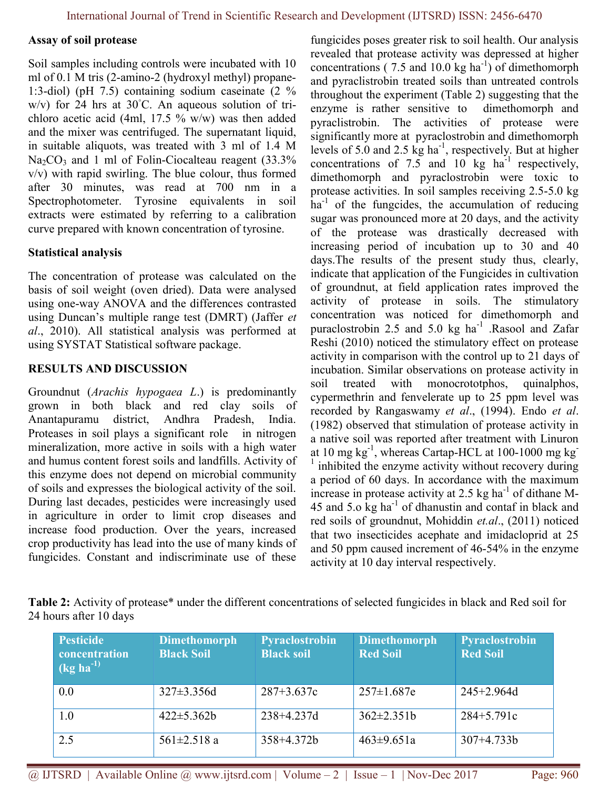#### Assay of soil protease

Soil samples including controls were incubated with 10 ml of 0.1 M tris (2-amino-2 (hydroxyl methyl) propane-1:3-diol) (pH 7.5) containing sodium caseinate (2 % w/v) for 24 hrs at  $30^{\circ}$ C. An aqueous solution of trichloro acetic acid (4ml, 17.5 % w/w) was then added and the mixer was centrifuged. The supernatant liquid, in suitable aliquots, was treated with 3 ml of 1.4 M  $Na<sub>2</sub>CO<sub>3</sub>$  and 1 ml of Folin-Ciocalteau reagent (33.3%) v/v) with rapid swirling. The blue colour, thus formed after 30 minutes, was read at 700 nm in a Spectrophotometer. Tyrosine equivalents in soil extracts were estimated by referring to a calibration curve prepared with known concentration of tyrosine.

### Statistical analysis

The concentration of protease was calculated on the basis of soil weight (oven dried). Data were analysed using one-way ANOVA and the differences contrasted using Duncan's multiple range test (DMRT) (Jaffer et al., 2010). All statistical analysis was performed at using SYSTAT Statistical software package.

# RESULTS AND DISCUSSION

Groundnut (Arachis hypogaea L.) is predominantly grown in both black and red clay soils of Anantapuramu district, Andhra Pradesh, India. Proteases in soil plays a significant role in nitrogen mineralization, more active in soils with a high water and humus content forest soils and landfills. Activity of this enzyme does not depend on microbial community of soils and expresses the biological activity of the soil. During last decades, pesticides were increasingly used in agriculture in order to limit crop diseases and increase food production. Over the years, increased crop productivity has lead into the use of many kinds of fungicides. Constant and indiscriminate use of these

fungicides poses greater risk to soil health. Our analysis revealed that protease activity was depressed at higher concentrations (  $7.5$  and  $10.0$  kg ha<sup>-1</sup>) of dimethomorph and pyraclistrobin treated soils than untreated controls throughout the experiment (Table 2) suggesting that the enzyme is rather sensitive to dimethomorph and pyraclistrobin. The activities of protease were significantly more at pyraclostrobin and dimethomorph levels of 5.0 and 2.5 kg ha<sup>-1</sup>, respectively. But at higher concentrations of  $7.5$  and  $10 \text{ kg } \text{ha}^{-1}$  respectively, dimethomorph and pyraclostrobin were toxic to protease activities. In soil samples receiving 2.5-5.0 kg  $ha^{-1}$  of the fungcides, the accumulation of reducing sugar was pronounced more at 20 days, and the activity of the protease was drastically decreased with increasing period of incubation up to 30 and 40 days.The results of the present study thus, clearly, indicate that application of the Fungicides in cultivation of groundnut, at field application rates improved the activity of protease in soils. The stimulatory concentration was noticed for dimethomorph and puraclostrobin 2.5 and 5.0 kg  $ha^{-1}$ . Rasool and Zafar Reshi (2010) noticed the stimulatory effect on protease activity in comparison with the control up to 21 days of incubation. Similar observations on protease activity in soil treated with monocrototphos, quinalphos, cypermethrin and fenvelerate up to 25 ppm level was recorded by Rangaswamy et al., (1994). Endo et al. (1982) observed that stimulation of protease activity in a native soil was reported after treatment with Linuron at 10 mg kg-1, whereas Cartap-HCL at 100-1000 mg kg-<sup>1</sup> inhibited the enzyme activity without recovery during a period of 60 days. In accordance with the maximum increase in protease activity at 2.5 kg ha $^{-1}$  of dithane M-45 and 5.0  $kg$  ha $^{-1}$  of dhanustin and contaf in black and red soils of groundnut, Mohiddin et.al., (2011) noticed that two insecticides acephate and imidacloprid at 25 and 50 ppm caused increment of 46-54% in the enzyme activity at 10 day interval respectively.

Table 2: Activity of protease\* under the different concentrations of selected fungicides in black and Red soil for 24 hours after 10 days

| <b>Pesticide</b><br>concentration<br>$(kg ha^{-1})$ | <b>Dimethomorph</b><br><b>Black Soil</b> | Pyraclostrobin<br><b>Black soil</b> | Dimethomorph<br><b>Red Soil</b> | Pyraclostrobin<br><b>Red Soil</b> |
|-----------------------------------------------------|------------------------------------------|-------------------------------------|---------------------------------|-----------------------------------|
| 0.0                                                 | $327 \pm 3.356$ d                        | $287 + 3.637c$                      | $257 \pm 1.687e$                | $245 + 2.964d$                    |
| 1.0                                                 | $422 \pm 5.362b$                         | 238+4.237d                          | $362 \pm 2.351b$                | $284+5.791c$                      |
| 2.5                                                 | $561 \pm 2.518$ a                        | $358 + 4.372b$                      | $463 \pm 9.651a$                | $307+4.733b$                      |

 $@$  IJTSRD | Available Online  $@$  www.ijtsrd.com | Volume – 2 | Issue – 1 | Nov-Dec 2017 Page: 960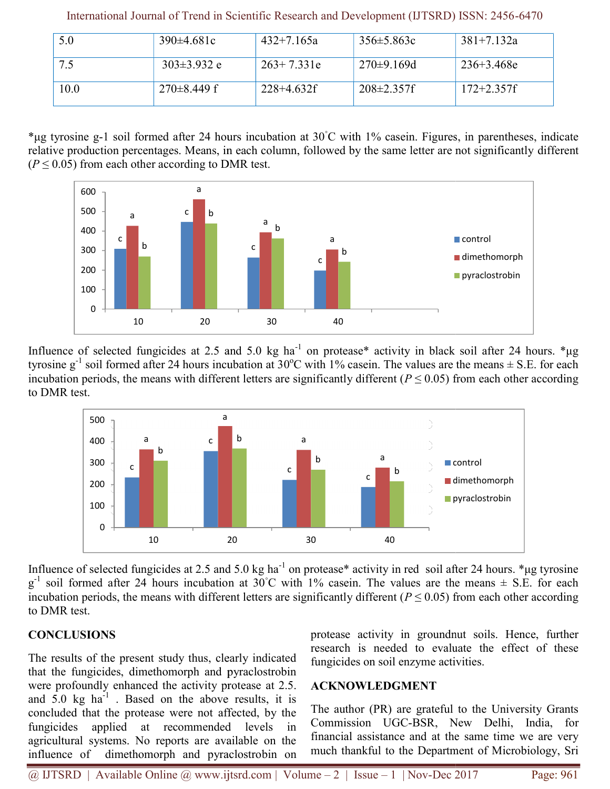| 5.0  | $390\pm4.681c$  | $432 + 7.165a$ | $356 \pm 5.863c$  | $381 + 7.132a$ |
|------|-----------------|----------------|-------------------|----------------|
| 7.5  | $303\pm3.932$ e | $263+7.331e$   | $270 \pm 9.169$ d | $236 + 3.468e$ |
| 10.0 | $270\pm8.449$ f | $228+4.632f$   | $208 \pm 2.357$ f | $172 + 2.357f$ |

International Journal of Trend in Scientific Research and Development (IJTSRD) ISSN: 2456 2456-6470

\*µg tyrosine g-1 soil formed after 24 hours incubation at 30°C with 1% casein. Figures, in parentheses, indicate relative production percentages. Means, in each column, followed by the same letter are not significantly  $(P \le 0.05)$  from each other according to DMR test.  $(P \le 0.05)$  from each other according to DMR test. with 1% casein. Figures, in parentheses, indicate d by the same letter are not significantly different



Influence of selected fungicides at 2.5 and 5.0 kg ha<sup>-1</sup> on protease\* activity in black soil after 24 hours. \*µg tyrosine  $g^{-1}$  soil formed after 24 hours incubation at 30°C with 1% casein. The values are the means  $\pm$  S.E. for each incubation periods, the means with different letters are significantly different ( $P \le 0.05$ ) from each other according to DMR test.



Influence of selected fungicides at 2.5 and 5.0 kg ha<sup>-1</sup> on protease\* activity in red soil after 24 hours. \*µg tyrosine  $g^{-1}$  soil formed after 24 hours incubation at 30°C with 1% casein. The values are the means  $\pm$  S.E. for each incubation periods, the means with different letters are significantly different ( $P \le 0.05$ ) from each other according to DMR test.

# **CONCLUSIONS**

The results of the present study thus, clearly indicated that the fungicides, dimethomorph and pyraclostrobin The results of the present study thus, clearly indicated that the fungicides, dimethomorph and pyraclostrobin were profoundly enhanced the activity protease at 2.5. and  $5.0 \text{ kg}$  ha<sup>-1</sup>. Based on the above results, it is and  $5.0 \text{ kg} \text{ ha}^{-1}$ . Based on the above results, it is concluded that the protease were not affected, by the fungicides applied at recommended levels in agricultural systems. No reports are available on the influence of dimethomorph and pyraclostrobin on applied at recommended levels in<br>I systems. No reports are available on the<br>of dimethomorph and pyraclostrobin on protease activity in groundnut soils. Hence, further research is needed to evaluate the effect of these fungicides on soil enzyme activities.

# ACKNOWLEDGMENT

The author (PR) are grateful to the University Grants Commission UGC-BSR, New Delhi, India, financial assistance and at the same time we are very much thankful to the Department of Microbiology, Sri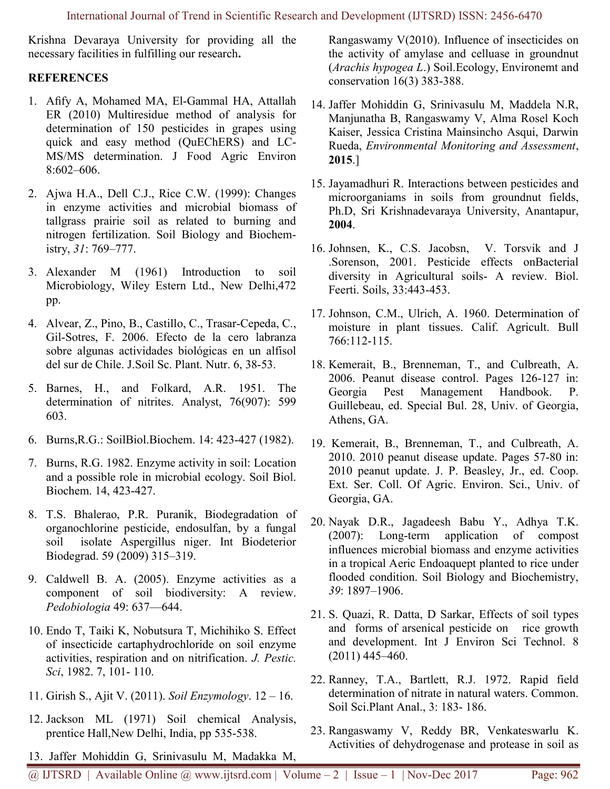Krishna Devaraya University for providing all the necessary facilities in fulfilling our research.

## **REFERENCES**

- 1. Afify A, Mohamed MA, El-Gammal HA, Attallah ER (2010) Multiresidue method of analysis for determination of 150 pesticides in grapes using quick and easy method (QuEChERS) and LC-MS/MS determination. J Food Agric Environ 8:602–606.
- 2. Ajwa H.A., Dell C.J., Rice C.W. (1999): Changes in enzyme activities and microbial biomass of tallgrass prairie soil as related to burning and nitrogen fertilization. Soil Biology and Biochemistry, 31: 769–777.
- 3. Alexander M (1961) Introduction to soil Microbiology, Wiley Estern Ltd., New Delhi,472 pp.
- 4. Alvear, Z., Pino, B., Castillo, C., Trasar-Cepeda, C., Gil-Sotres, F. 2006. Efecto de la cero labranza sobre algunas actividades biológicas en un alfisol del sur de Chile. J.Soil Sc. Plant. Nutr. 6, 38-53.
- 5. Barnes, H., and Folkard, A.R. 1951. The determination of nitrites. Analyst, 76(907): 599 603.
- 6. Burns,R.G.: SoilBiol.Biochem. 14: 423-427 (1982).
- 7. Burns, R.G. 1982. Enzyme activity in soil: Location and a possible role in microbial ecology. Soil Biol. Biochem. 14, 423-427.
- 8. T.S. Bhalerao, P.R. Puranik, Biodegradation of organochlorine pesticide, endosulfan, by a fungal soil isolate Aspergillus niger. Int Biodeterior Biodegrad. 59 (2009) 315–319.
- 9. Caldwell B. A. (2005). Enzyme activities as a component of soil biodiversity: A review. Pedobiologia 49: 637—644.
- 10. Endo T, Taiki K, Nobutsura T, Michihiko S. Effect of insecticide cartaphydrochloride on soil enzyme activities, respiration and on nitrification. J. Pestic. Sci, 1982. 7, 101- 110.
- 11. Girish S., Ajit V. (2011). Soil Enzymology. 12 16.
- 12. Jackson ML (1971) Soil chemical Analysis, prentice Hall,New Delhi, India, pp 535-538.
- 13. Jaffer Mohiddin G, Srinivasulu M, Madakka M,

Rangaswamy V(2010). Influence of insecticides on the activity of amylase and celluase in groundnut (Arachis hypogea L.) Soil.Ecology, Environemt and conservation 16(3) 383-388.

- 14. Jaffer Mohiddin G, Srinivasulu M, Maddela N.R, Manjunatha B, Rangaswamy V, Alma Rosel Koch Kaiser, Jessica Cristina Mainsincho Asqui, Darwin Rueda, Environmental Monitoring and Assessment, 2015.]
- 15. Jayamadhuri R. Interactions between pesticides and microorganiams in soils from groundnut fields, Ph.D, Sri Krishnadevaraya University, Anantapur, 2004.
- 16. Johnsen, K., C.S. Jacobsn, V. Torsvik and J .Sorenson, 2001. Pesticide effects onBacterial diversity in Agricultural soils- A review. Biol. Feerti. Soils, 33:443-453.
- 17. Johnson, C.M., Ulrich, A. 1960. Determination of moisture in plant tissues. Calif. Agricult. Bull 766:112-115.
- 18. Kemerait, B., Brenneman, T., and Culbreath, A. 2006. Peanut disease control. Pages 126-127 in: Georgia Pest Management Handbook. P. Guillebeau, ed. Special Bul. 28, Univ. of Georgia, Athens, GA.
- 19. Kemerait, B., Brenneman, T., and Culbreath, A. 2010. 2010 peanut disease update. Pages 57-80 in: 2010 peanut update. J. P. Beasley, Jr., ed. Coop. Ext. Ser. Coll. Of Agric. Environ. Sci., Univ. of Georgia, GA.
- 20. Nayak D.R., Jagadeesh Babu Y., Adhya T.K. (2007): Long-term application of compost influences microbial biomass and enzyme activities in a tropical Aeric Endoaquept planted to rice under flooded condition. Soil Biology and Biochemistry, 39: 1897–1906.
- 21. S. Quazi, R. Datta, D Sarkar, Effects of soil types and forms of arsenical pesticide on rice growth and development. Int J Environ Sci Technol. 8 (2011) 445–460.
- 22. Ranney, T.A., Bartlett, R.J. 1972. Rapid field determination of nitrate in natural waters. Common. Soil Sci.Plant Anal., 3: 183- 186.
- 23. Rangaswamy V, Reddy BR, Venkateswarlu K. Activities of dehydrogenase and protease in soil as

@ IJTSRD | Available Online @ www.ijtsrd.com | Volume – 2 | Issue – 1 | Nov-Dec 2017 Page: 962